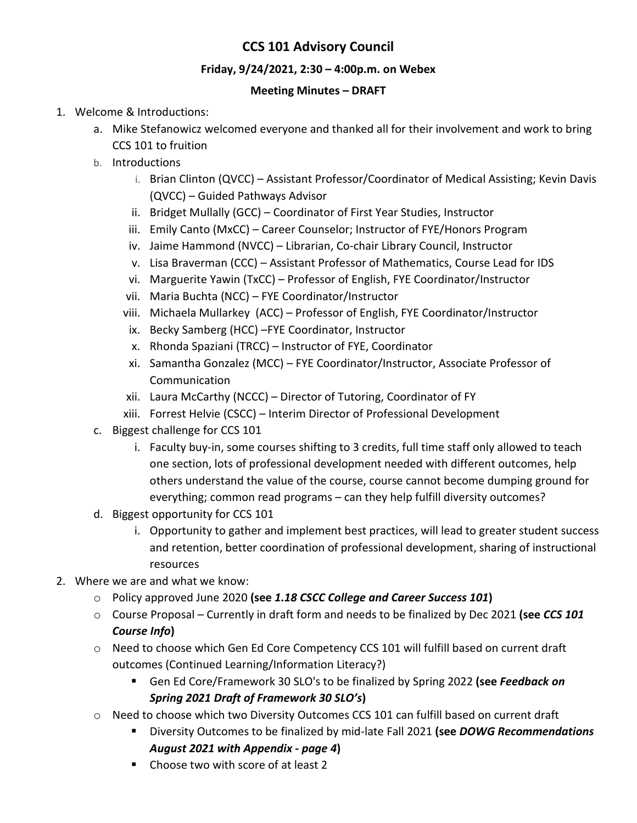# **CCS 101 Advisory Council**

## **Friday, 9/24/2021, 2:30 – 4:00p.m. on Webex**

### **Meeting Minutes – DRAFT**

- 1. Welcome & Introductions:
	- a. Mike Stefanowicz welcomed everyone and thanked all for their involvement and work to bring CCS 101 to fruition
	- b. Introductions
		- i. Brian Clinton (QVCC) Assistant Professor/Coordinator of Medical Assisting; Kevin Davis (QVCC) – Guided Pathways Advisor
		- ii. Bridget Mullally (GCC) Coordinator of First Year Studies, Instructor
		- iii. Emily Canto (MxCC) Career Counselor; Instructor of FYE/Honors Program
		- iv. Jaime Hammond (NVCC) Librarian, Co-chair Library Council, Instructor
		- v. Lisa Braverman (CCC) Assistant Professor of Mathematics, Course Lead for IDS
		- vi. Marguerite Yawin (TxCC) Professor of English, FYE Coordinator/Instructor
		- vii. Maria Buchta (NCC) FYE Coordinator/Instructor
		- viii. Michaela Mullarkey (ACC) Professor of English, FYE Coordinator/Instructor
		- ix. Becky Samberg (HCC) –FYE Coordinator, Instructor
		- x. Rhonda Spaziani (TRCC) Instructor of FYE, Coordinator
		- xi. Samantha Gonzalez (MCC) FYE Coordinator/Instructor, Associate Professor of Communication
		- xii. Laura McCarthy (NCCC) Director of Tutoring, Coordinator of FY
		- xiii. Forrest Helvie (CSCC) Interim Director of Professional Development
	- c. Biggest challenge for CCS 101
		- i. Faculty buy-in, some courses shifting to 3 credits, full time staff only allowed to teach one section, lots of professional development needed with different outcomes, help others understand the value of the course, course cannot become dumping ground for everything; common read programs – can they help fulfill diversity outcomes?
	- d. Biggest opportunity for CCS 101
		- i. Opportunity to gather and implement best practices, will lead to greater student success and retention, better coordination of professional development, sharing of instructional resources
- 2. Where we are and what we know:
	- o Policy approved June 2020 **(see** *1.18 CSCC College and Career Success 101***)**
	- o Course Proposal Currently in draft form and needs to be finalized by Dec 2021 **(see** *CCS 101 Course Info***)**
	- o Need to choose which Gen Ed Core Competency CCS 101 will fulfill based on current draft outcomes (Continued Learning/Information Literacy?)
		- Gen Ed Core/Framework 30 SLO's to be finalized by Spring 2022 **(see** *Feedback on Spring 2021 Draft of Framework 30 SLO's***)**
	- $\circ$  Need to choose which two Diversity Outcomes CCS 101 can fulfill based on current draft
		- Diversity Outcomes to be finalized by mid-late Fall 2021 **(see** *DOWG Recommendations August 2021 with Appendix - page 4***)**
		- Choose two with score of at least 2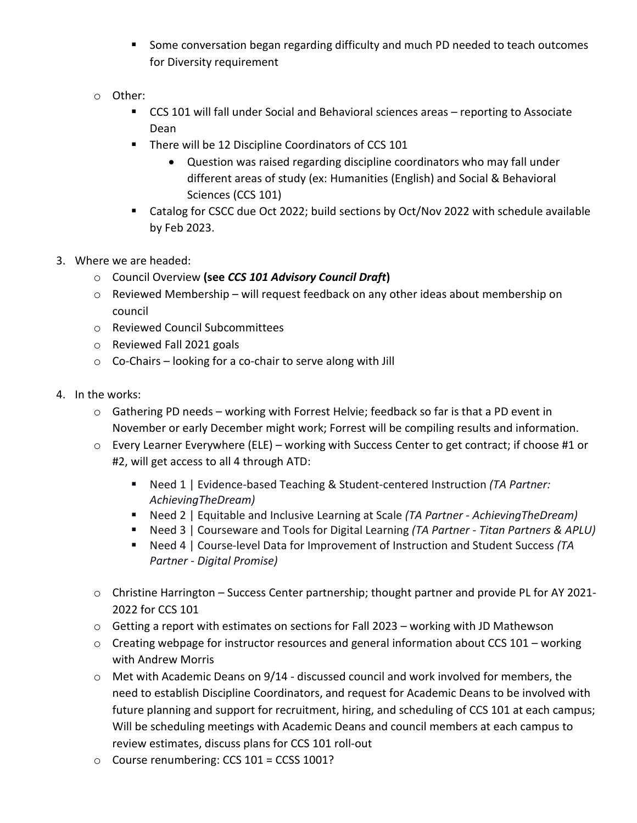- **Some conversation began regarding difficulty and much PD needed to teach outcomes** for Diversity requirement
- o Other:
	- CCS 101 will fall under Social and Behavioral sciences areas reporting to Associate Dean
	- **There will be 12 Discipline Coordinators of CCS 101** 
		- Question was raised regarding discipline coordinators who may fall under different areas of study (ex: Humanities (English) and Social & Behavioral Sciences (CCS 101)
	- Catalog for CSCC due Oct 2022; build sections by Oct/Nov 2022 with schedule available by Feb 2023.
- 3. Where we are headed:
	- o Council Overview **(see** *CCS 101 Advisory Council Draft***)**
	- o Reviewed Membership will request feedback on any other ideas about membership on council
	- o Reviewed Council Subcommittees
	- o Reviewed Fall 2021 goals
	- o Co-Chairs looking for a co-chair to serve along with Jill
- 4. In the works:
	- o Gathering PD needs working with Forrest Helvie; feedback so far is that a PD event in November or early December might work; Forrest will be compiling results and information.
	- o Every Learner Everywhere (ELE) working with Success Center to get contract; if choose #1 or #2, will get access to all 4 through ATD:
		- Need 1 | Evidence-based Teaching & Student-centered Instruction (TA Partner: *AchievingTheDream)*
		- Need 2 | Equitable and Inclusive Learning at Scale *(TA Partner - AchievingTheDream)*
		- Need 3 | Courseware and Tools for Digital Learning *(TA Partner Titan Partners & APLU)*
		- Need 4 | Course-level Data for Improvement of Instruction and Student Success (TA *Partner - Digital Promise)*
	- o Christine Harrington Success Center partnership; thought partner and provide PL for AY 2021- 2022 for CCS 101
	- o Getting a report with estimates on sections for Fall 2023 working with JD Mathewson
	- $\circ$  Creating webpage for instructor resources and general information about CCS 101 working with Andrew Morris
	- $\circ$  Met with Academic Deans on 9/14 discussed council and work involved for members, the need to establish Discipline Coordinators, and request for Academic Deans to be involved with future planning and support for recruitment, hiring, and scheduling of CCS 101 at each campus; Will be scheduling meetings with Academic Deans and council members at each campus to review estimates, discuss plans for CCS 101 roll-out
	- o Course renumbering: CCS 101 = CCSS 1001?